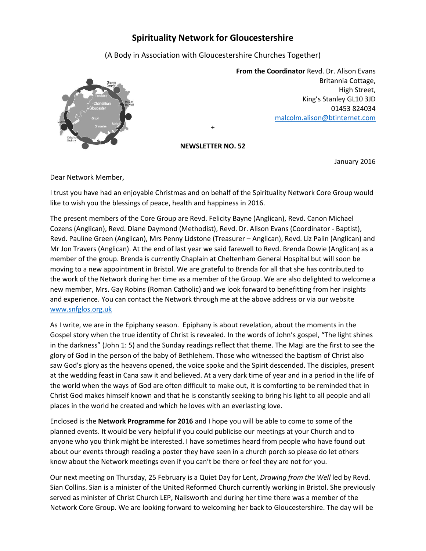## **Spirituality Network for Gloucestershire**

(A Body in Association with Gloucestershire Churches Together)



**From the Coordinator** Revd. Dr. Alison Evans Britannia Cottage, High Street, King's Stanley GL10 3JD 01453 824034 [malcolm.alison@btinternet.com](mailto:malcolm.alison@btinternet.com)

**NEWSLETTER NO. 52**

+

January 2016

Dear Network Member,

I trust you have had an enjoyable Christmas and on behalf of the Spirituality Network Core Group would like to wish you the blessings of peace, health and happiness in 2016.

The present members of the Core Group are Revd. Felicity Bayne (Anglican), Revd. Canon Michael Cozens (Anglican), Revd. Diane Daymond (Methodist), Revd. Dr. Alison Evans (Coordinator - Baptist), Revd. Pauline Green (Anglican), Mrs Penny Lidstone (Treasurer – Anglican), Revd. Liz Palin (Anglican) and Mr Jon Travers (Anglican). At the end of last year we said farewell to Revd. Brenda Dowie (Anglican) as a member of the group. Brenda is currently Chaplain at Cheltenham General Hospital but will soon be moving to a new appointment in Bristol. We are grateful to Brenda for all that she has contributed to the work of the Network during her time as a member of the Group. We are also delighted to welcome a new member, Mrs. Gay Robins (Roman Catholic) and we look forward to benefitting from her insights and experience. You can contact the Network through me at the above address or via our website [www.snfglos.org.uk](http://www.snfglos.org.uk/)

As I write, we are in the Epiphany season. Epiphany is about revelation, about the moments in the Gospel story when the true identity of Christ is revealed. In the words of John's gospel, "The light shines in the darkness" (John 1: 5) and the Sunday readings reflect that theme. The Magi are the first to see the glory of God in the person of the baby of Bethlehem. Those who witnessed the baptism of Christ also saw God's glory as the heavens opened, the voice spoke and the Spirit descended. The disciples, present at the wedding feast in Cana saw it and believed. At a very dark time of year and in a period in the life of the world when the ways of God are often difficult to make out, it is comforting to be reminded that in Christ God makes himself known and that he is constantly seeking to bring his light to all people and all places in the world he created and which he loves with an everlasting love.

Enclosed is the **Network Programme for 2016** and I hope you will be able to come to some of the planned events. It would be very helpful if you could publicise our meetings at your Church and to anyone who you think might be interested. I have sometimes heard from people who have found out about our events through reading a poster they have seen in a church porch so please do let others know about the Network meetings even if you can't be there or feel they are not for you.

Our next meeting on Thursday, 25 February is a Quiet Day for Lent, *Drawing from the Well* led by Revd. Sian Collins. Sian is a minister of the United Reformed Church currently working in Bristol. She previously served as minister of Christ Church LEP, Nailsworth and during her time there was a member of the Network Core Group. We are looking forward to welcoming her back to Gloucestershire. The day will be